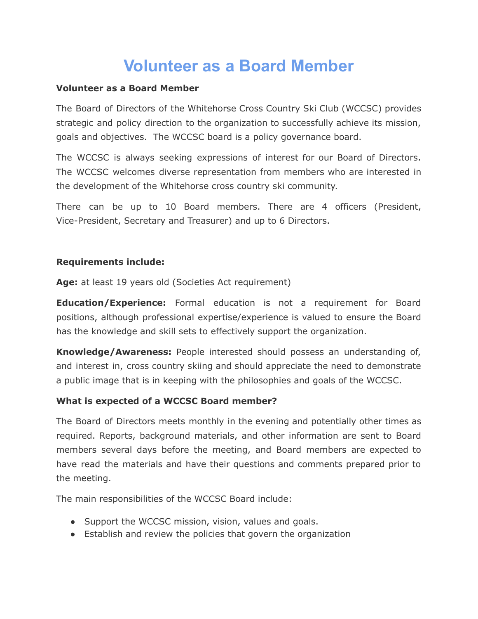# **Volunteer as a Board Member**

#### **Volunteer as a Board Member**

The Board of Directors of the Whitehorse Cross Country Ski Club (WCCSC) provides strategic and policy direction to the organization to successfully achieve its mission, goals and objectives. The WCCSC board is a policy governance board.

The WCCSC is always seeking expressions of interest for our Board of Directors. The WCCSC welcomes diverse representation from members who are interested in the development of the Whitehorse cross country ski community.

There can be up to 10 Board members. There are 4 officers (President, Vice-President, Secretary and Treasurer) and up to 6 Directors.

#### **Requirements include:**

**Age:** at least 19 years old (Societies Act requirement)

**Education/Experience:** Formal education is not a requirement for Board positions, although professional expertise/experience is valued to ensure the Board has the knowledge and skill sets to effectively support the organization.

**Knowledge/Awareness:** People interested should possess an understanding of, and interest in, cross country skiing and should appreciate the need to demonstrate a public image that is in keeping with the philosophies and goals of the WCCSC.

#### **What is expected of a WCCSC Board member?**

The Board of Directors meets monthly in the evening and potentially other times as required. Reports, background materials, and other information are sent to Board members several days before the meeting, and Board members are expected to have read the materials and have their questions and comments prepared prior to the meeting.

The main responsibilities of the WCCSC Board include:

- Support the WCCSC mission, vision, values and goals.
- Establish and review the policies that govern the organization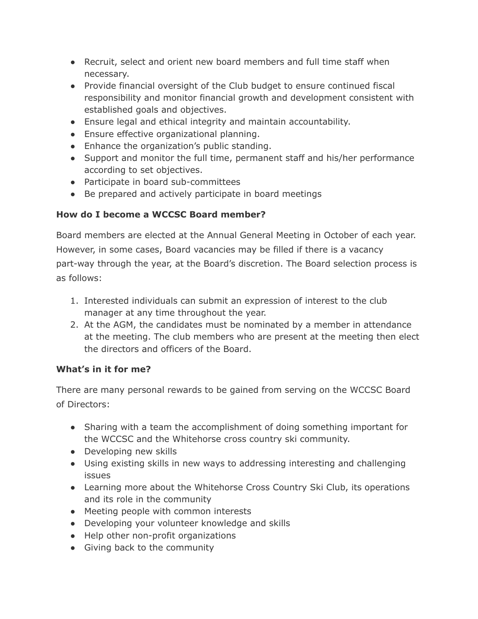- Recruit, select and orient new board members and full time staff when necessary.
- Provide financial oversight of the Club budget to ensure continued fiscal responsibility and monitor financial growth and development consistent with established goals and objectives.
- Ensure legal and ethical integrity and maintain accountability.
- Ensure effective organizational planning.
- Enhance the organization's public standing.
- Support and monitor the full time, permanent staff and his/her performance according to set objectives.
- Participate in board sub-committees
- Be prepared and actively participate in board meetings

## **How do I become a WCCSC Board member?**

Board members are elected at the Annual General Meeting in October of each year. However, in some cases, Board vacancies may be filled if there is a vacancy part-way through the year, at the Board's discretion. The Board selection process is as follows:

- 1. Interested individuals can submit an expression of interest to the club manager at any time throughout the year.
- 2. At the AGM, the candidates must be nominated by a member in attendance at the meeting. The club members who are present at the meeting then elect the directors and officers of the Board.

### **What's in it for me?**

There are many personal rewards to be gained from serving on the WCCSC Board of Directors:

- Sharing with a team the accomplishment of doing something important for the WCCSC and the Whitehorse cross country ski community.
- Developing new skills
- Using existing skills in new ways to addressing interesting and challenging issues
- Learning more about the Whitehorse Cross Country Ski Club, its operations and its role in the community
- Meeting people with common interests
- Developing your volunteer knowledge and skills
- Help other non-profit organizations
- Giving back to the community